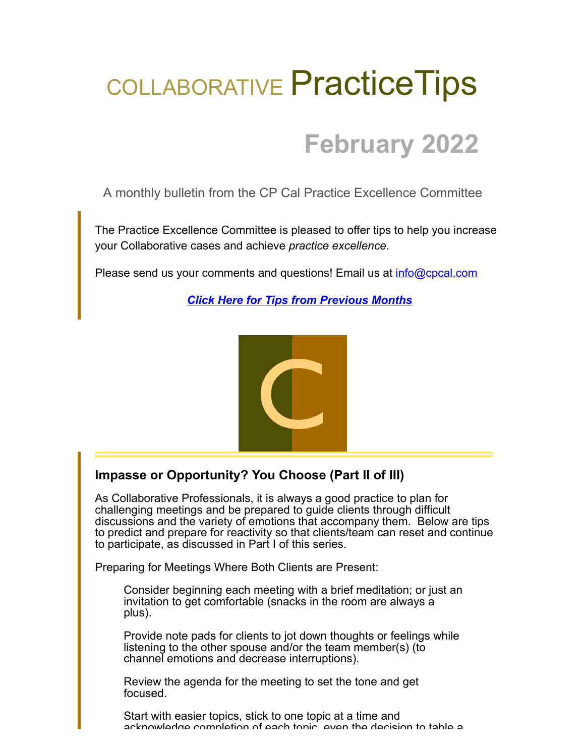# COLLABORATIVE Practice Tips

## **February 2022**

A monthly bulletin from the CP Cal Practice Excellence Committee

The Practice Excellence Committee is pleased to offer tips to help you increase your Collaborative cases and achieve *practice excellence.*

Please send us your comments and questions! Email us at [info@cpcal.com](mailto:info@cpcal.com)

*[Click Here for Tips from Previous Months](http://www.cpcal.com/for-professionals/practice-tips-newsletter/)*



### **Impasse or Opportunity? You Choose (Part II of III)**

As Collaborative Professionals, it is always a good practice to plan for challenging meetings and be prepared to guide clients through difficult discussions and the variety of emotions that accompany them. Below are tips to predict and prepare for reactivity so that clients/team can reset and continue to participate, as discussed in Part I of this series.

Preparing for Meetings Where Both Clients are Present:

Consider beginning each meeting with a brief meditation; or just an invitation to get comfortable (snacks in the room are always a plus).

Provide note pads for clients to jot down thoughts or feelings while listening to the other spouse and/or the team member(s) (to channel emotions and decrease interruptions).

Review the agenda for the meeting to set the tone and get focused.

Start with easier topics, stick to one topic at a time and acknowledge completion of each topic even the decision to table a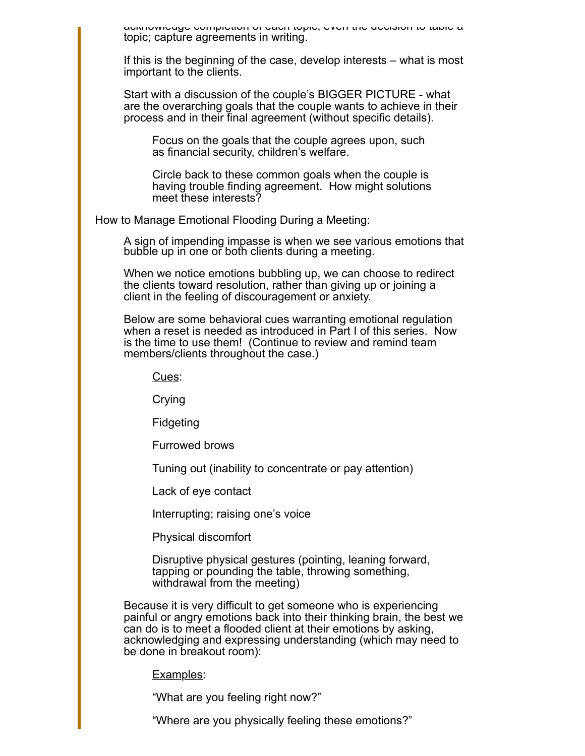acknowledge completion of each topic, even the decision to table a topic; capture agreements in writing.

If this is the beginning of the case, develop interests – what is most important to the clients.

Start with a discussion of the couple's BIGGER PICTURE - what are the overarching goals that the couple wants to achieve in their process and in their final agreement (without specific details).

Focus on the goals that the couple agrees upon, such as financial security, children's welfare.

Circle back to these common goals when the couple is having trouble finding agreement. How might solutions meet these interests?

How to Manage Emotional Flooding During a Meeting:

A sign of impending impasse is when we see various emotions that bubble up in one or both clients during a meeting.

When we notice emotions bubbling up, we can choose to redirect the clients toward resolution, rather than giving up or joining a client in the feeling of discouragement or anxiety.

Below are some behavioral cues warranting emotional regulation when a reset is needed as introduced in Part I of this series. Now is the time to use them! (Continue to review and remind team members/clients throughout the case.)

Cues:

Crying

Fidgeting

Furrowed brows

Tuning out (inability to concentrate or pay attention)

Lack of eye contact

Interrupting; raising one's voice

Physical discomfort

Disruptive physical gestures (pointing, leaning forward, tapping or pounding the table, throwing something, withdrawal from the meeting)

Because it is very difficult to get someone who is experiencing painful or angry emotions back into their thinking brain, the best we can do is to meet a flooded client at their emotions by asking, acknowledging and expressing understanding (which may need to be done in breakout room):

Examples:

"What are you feeling right now?"

"Where are you physically feeling these emotions?"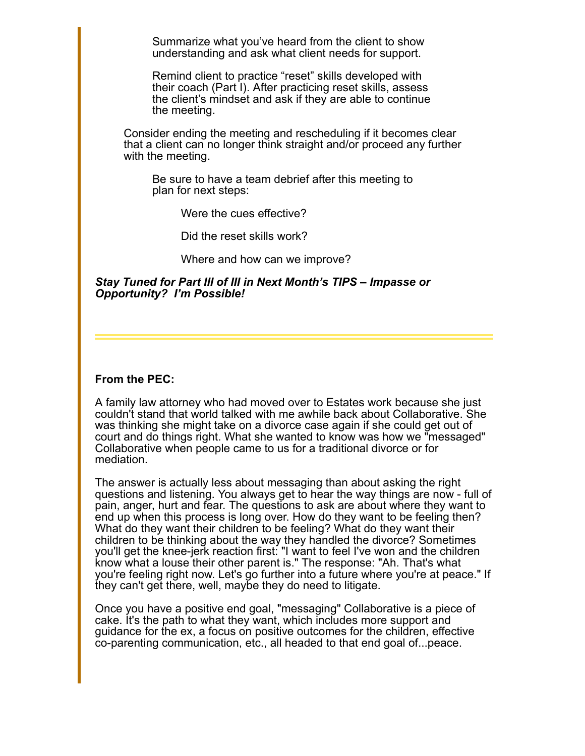Summarize what you've heard from the client to show understanding and ask what client needs for support.

Remind client to practice "reset" skills developed with their coach (Part I). After practicing reset skills, assess the client's mindset and ask if they are able to continue the meeting.

Consider ending the meeting and rescheduling if it becomes clear that a client can no longer think straight and/or proceed any further with the meeting.

Be sure to have a team debrief after this meeting to plan for next steps:

Were the cues effective?

Did the reset skills work?

Where and how can we improve?

*Stay Tuned for Part III of III in Next Month's TIPS – Impasse or Opportunity? I'm Possible!*

#### **From the PEC:**

A family law attorney who had moved over to Estates work because she just couldn't stand that world talked with me awhile back about Collaborative. She was thinking she might take on a divorce case again if she could get out of court and do things right. What she wanted to know was how we "messaged" Collaborative when people came to us for a traditional divorce or for mediation.

The answer is actually less about messaging than about asking the right questions and listening. You always get to hear the way things are now - full of pain, anger, hurt and fear. The questions to ask are about where they want to end up when this process is long over. How do they want to be feeling then? What do they want their children to be feeling? What do they want their children to be thinking about the way they handled the divorce? Sometimes you'll get the knee-jerk reaction first: "I want to feel I've won and the children know what a louse their other parent is." The response: "Ah. That's what you're feeling right now. Let's go further into a future where you're at peace." If they can't get there, well, maybe they do need to litigate.

Once you have a positive end goal, "messaging" Collaborative is a piece of cake. It's the path to what they want, which includes more support and guidance for the ex, a focus on positive outcomes for the children, effective co-parenting communication, etc., all headed to that end goal of...peace.